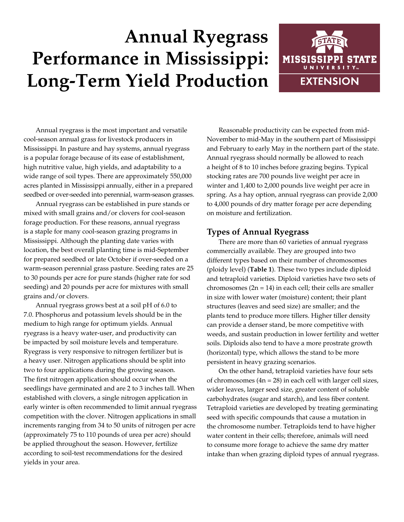# **Annual Ryegrass Performance in Mississippi: Long-Term Yield Production**



Annual ryegrass is the most important and versatile cool-season annual grass for livestock producers in Mississippi. In pasture and hay systems, annual ryegrass is a popular forage because of its ease of establishment, high nutritive value, high yields, and adaptability to a wide range of soil types. There are approximately 550,000 acres planted in Mississippi annually, either in a prepared seedbed or over-seeded into perennial, warm-season grasses.

Annual ryegrass can be established in pure stands or mixed with small grains and/or clovers for cool-season forage production. For these reasons, annual ryegrass is a staple for many cool-season grazing programs in Mississippi. Although the planting date varies with location, the best overall planting time is mid-September for prepared seedbed or late October if over-seeded on a warm-season perennial grass pasture. Seeding rates are 25 to 30 pounds per acre for pure stands (higher rate for sod seeding) and 20 pounds per acre for mixtures with small grains and/or clovers.

Annual ryegrass grows best at a soil pH of 6.0 to 7.0. Phosphorus and potassium levels should be in the medium to high range for optimum yields. Annual ryegrass is a heavy water-user, and productivity can be impacted by soil moisture levels and temperature. Ryegrass is very responsive to nitrogen fertilizer but is a heavy user. Nitrogen applications should be split into two to four applications during the growing season. The first nitrogen application should occur when the seedlings have germinated and are 2 to 3 inches tall. When established with clovers, a single nitrogen application in early winter is often recommended to limit annual ryegrass competition with the clover. Nitrogen applications in small increments ranging from 34 to 50 units of nitrogen per acre (approximately 75 to 110 pounds of urea per acre) should be applied throughout the season. However, fertilize according to soil-test recommendations for the desired yields in your area.

Reasonable productivity can be expected from mid-November to mid-May in the southern part of Mississippi and February to early May in the northern part of the state. Annual ryegrass should normally be allowed to reach a height of 8 to 10 inches before grazing begins. Typical stocking rates are 700 pounds live weight per acre in winter and 1,400 to 2,000 pounds live weight per acre in spring. As a hay option, annual ryegrass can provide 2,000 to 4,000 pounds of dry matter forage per acre depending on moisture and fertilization.

## **Types of Annual Ryegrass**

There are more than 60 varieties of annual ryegrass commercially available. They are grouped into two different types based on their number of chromosomes (ploidy level) (**Table 1**). These two types include diploid and tetraploid varieties. Diploid varieties have two sets of chromosomes  $(2n = 14)$  in each cell; their cells are smaller in size with lower water (moisture) content; their plant structures (leaves and seed size) are smaller; and the plants tend to produce more tillers. Higher tiller density can provide a denser stand, be more competitive with weeds, and sustain production in lower fertility and wetter soils. Diploids also tend to have a more prostrate growth (horizontal) type, which allows the stand to be more persistent in heavy grazing scenarios.

On the other hand, tetraploid varieties have four sets of chromosomes  $(4n = 28)$  in each cell with larger cell sizes, wider leaves, larger seed size, greater content of soluble carbohydrates (sugar and starch), and less fiber content. Tetraploid varieties are developed by treating germinating seed with specific compounds that cause a mutation in the chromosome number. Tetraploids tend to have higher water content in their cells; therefore, animals will need to consume more forage to achieve the same dry matter intake than when grazing diploid types of annual ryegrass.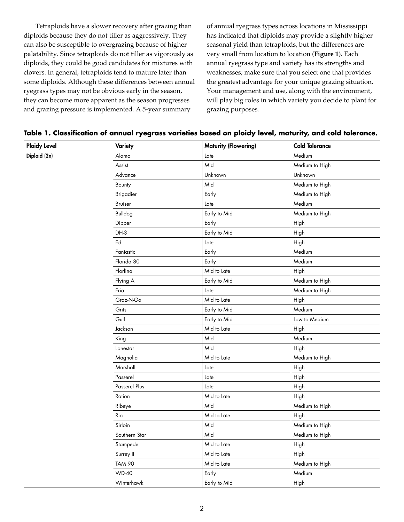Tetraploids have a slower recovery after grazing than diploids because they do not tiller as aggressively. They can also be susceptible to overgrazing because of higher palatability. Since tetraploids do not tiller as vigorously as diploids, they could be good candidates for mixtures with clovers. In general, tetraploids tend to mature later than some diploids. Although these differences between annual ryegrass types may not be obvious early in the season, they can become more apparent as the season progresses and grazing pressure is implemented. A 5-year summary

of annual ryegrass types across locations in Mississippi has indicated that diploids may provide a slightly higher seasonal yield than tetraploids, but the differences are very small from location to location (**Figure 1**). Each annual ryegrass type and variety has its strengths and weaknesses; make sure that you select one that provides the greatest advantage for your unique grazing situation. Your management and use, along with the environment, will play big roles in which variety you decide to plant for grazing purposes.

|  |  |  |  | Table 1. Classification of annual ryegrass varieties based on ploidy level, maturity, and cold tolerance. |  |  |  |  |  |  |  |  |
|--|--|--|--|-----------------------------------------------------------------------------------------------------------|--|--|--|--|--|--|--|--|
|--|--|--|--|-----------------------------------------------------------------------------------------------------------|--|--|--|--|--|--|--|--|

| <b>Ploidy Level</b> | <b>Variety</b>   | <b>Maturity (Flowering)</b> | <b>Cold Tolerance</b> |
|---------------------|------------------|-----------------------------|-----------------------|
| Diploid (2n)        | Alamo            | Late                        | Medium                |
|                     | Assist           | Mid                         | Medium to High        |
|                     | Advance          | Unknown                     | Unknown               |
|                     | Bounty           | Mid                         | Medium to High        |
|                     | <b>Brigadier</b> | Early                       | Medium to High        |
|                     | Bruiser          | Late                        | Medium                |
|                     | Bulldog          | Early to Mid                | Medium to High        |
|                     | Dipper           | Early                       | High                  |
|                     | DH-3             | Early to Mid                | High                  |
|                     | Ed               | Late                        | High                  |
|                     | Fantastic        | Early                       | Medium                |
|                     | Florida 80       | Early                       | Medium                |
|                     | Florlina         | Mid to Late                 | High                  |
|                     | Flying A         | Early to Mid                | Medium to High        |
|                     | Fria             | Late                        | Medium to High        |
|                     | Graz-N-Go        | Mid to Late                 | High                  |
|                     | Grits            | Early to Mid                | Medium                |
|                     | Gulf             | Early to Mid                | Low to Medium         |
|                     | Jackson          | Mid to Late                 | High                  |
|                     | King             | Mid                         | Medium                |
|                     | Lonestar         | Mid                         | High                  |
|                     | Magnolia         | Mid to Late                 | Medium to High        |
|                     | Marshall         | Late                        | High                  |
|                     | Passerel         | Late                        | High                  |
|                     | Passerel Plus    | Late                        | High                  |
|                     | Ration           | Mid to Late                 | High                  |
|                     | Ribeye           | Mid                         | Medium to High        |
|                     | Rio              | Mid to Late                 | High                  |
|                     | Sirloin          | Mid                         | Medium to High        |
|                     | Southern Star    | Mid                         | Medium to High        |
|                     | Stampede         | Mid to Late                 | High                  |
|                     | Surrey II        | Mid to Late                 | High                  |
|                     | <b>TAM 90</b>    | Mid to Late                 | Medium to High        |
|                     | <b>WD-40</b>     | Early                       | Medium                |
|                     | Winterhawk       | Early to Mid                | High                  |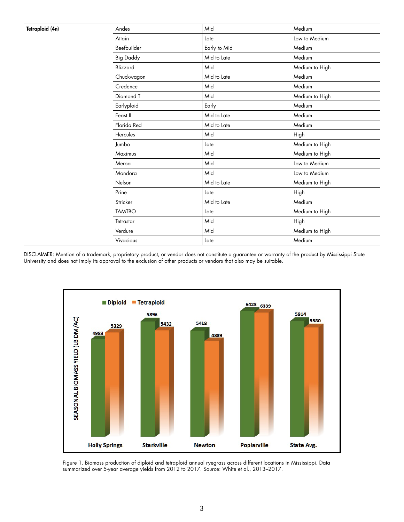| Tetraploid (4n) | Andes            | Mid          | Medium         |  |
|-----------------|------------------|--------------|----------------|--|
|                 | Attain           | Late         | Low to Medium  |  |
|                 | Beefbuilder      | Early to Mid | Medium         |  |
|                 | <b>Big Daddy</b> | Mid to Late  | Medium         |  |
|                 | Blizzard         | Mid          | Medium to High |  |
|                 | Chuckwagon       | Mid to Late  | Medium         |  |
|                 | Credence         | Mid          | Medium         |  |
|                 | Diamond T        | Mid          | Medium to High |  |
|                 | Earlyploid       | Early        | Medium         |  |
|                 | Feast II         | Mid to Late  | Medium         |  |
|                 | Florida Red      | Mid to Late  | Medium         |  |
|                 | Hercules         | Mid          | High           |  |
|                 | Jumbo            | Late         | Medium to High |  |
|                 | Maximus          | Mid          | Medium to High |  |
|                 | Meroa            | Mid          | Low to Medium  |  |
|                 | Mondora          | Mid          | Low to Medium  |  |
|                 | Nelson           | Mid to Late  | Medium to High |  |
|                 | Prine            | Late         | High           |  |
|                 | Stricker         | Mid to Late  | Medium         |  |
|                 | <b>TAMTBO</b>    | Late         | Medium to High |  |
|                 | Tetrastar        | Mid          | High           |  |
|                 | Verdure          | Mid          | Medium to High |  |
|                 | Vivacious        | Late         | Medium         |  |

DISCLAIMER: Mention of a trademark, proprietary product, or vendor does not constitute a guarantee or warranty of the product by Mississippi State University and does not imply its approval to the exclusion of other products or vendors that also may be suitable.



Figure 1. Biomass production of diploid and tetraploid annual ryegrass across different locations in Mississippi. Data summarized over 5-year average yields from 2012 to 2017. Source: White et al., 2013–2017.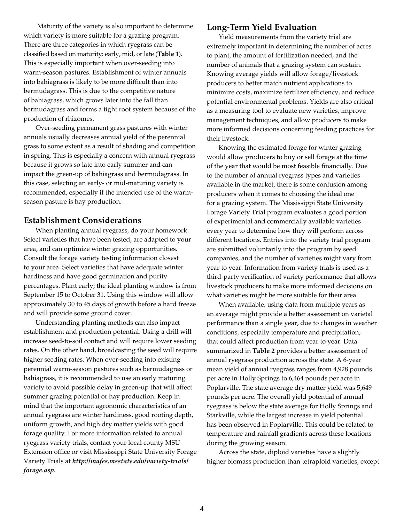Maturity of the variety is also important to determine which variety is more suitable for a grazing program. There are three categories in which ryegrass can be classified based on maturity: early, mid, or late (**Table 1**). This is especially important when over-seeding into warm-season pastures. Establishment of winter annuals into bahiagrass is likely to be more difficult than into bermudagrass. This is due to the competitive nature of bahiagrass, which grows later into the fall than bermudagrass and forms a tight root system because of the production of rhizomes.

Over-seeding permanent grass pastures with winter annuals usually decreases annual yield of the perennial grass to some extent as a result of shading and competition in spring. This is especially a concern with annual ryegrass because it grows so late into early summer and can impact the green-up of bahiagrass and bermudagrass. In this case, selecting an early- or mid-maturing variety is recommended, especially if the intended use of the warmseason pasture is hay production.

### **Establishment Considerations**

When planting annual ryegrass, do your homework. Select varieties that have been tested, are adapted to your area, and can optimize winter grazing opportunities. Consult the forage variety testing information closest to your area. Select varieties that have adequate winter hardiness and have good germination and purity percentages. Plant early; the ideal planting window is from September 15 to October 31. Using this window will allow approximately 30 to 45 days of growth before a hard freeze and will provide some ground cover.

Understanding planting methods can also impact establishment and production potential. Using a drill will increase seed-to-soil contact and will require lower seeding rates. On the other hand, broadcasting the seed will require higher seeding rates. When over-seeding into existing perennial warm-season pastures such as bermudagrass or bahiagrass, it is recommended to use an early maturing variety to avoid possible delay in green-up that will affect summer grazing potential or hay production. Keep in mind that the important agronomic characteristics of an annual ryegrass are winter hardiness, good rooting depth, uniform growth, and high dry matter yields with good forage quality. For more information related to annual ryegrass variety trials, contact your local county MSU Extension office or visit Mississippi State University Forage Variety Trials at *http://mafes.msstate.edu/variety-trials/ forage.asp.* 

#### **Long-Term Yield Evaluation**

Yield measurements from the variety trial are extremely important in determining the number of acres to plant, the amount of fertilization needed, and the number of animals that a grazing system can sustain. Knowing average yields will allow forage/livestock producers to better match nutrient applications to minimize costs, maximize fertilizer efficiency, and reduce potential environmental problems. Yields are also critical as a measuring tool to evaluate new varieties, improve management techniques, and allow producers to make more informed decisions concerning feeding practices for their livestock.

Knowing the estimated forage for winter grazing would allow producers to buy or sell forage at the time of the year that would be most feasible financially. Due to the number of annual ryegrass types and varieties available in the market, there is some confusion among producers when it comes to choosing the ideal one for a grazing system. The Mississippi State University Forage Variety Trial program evaluates a good portion of experimental and commercially available varieties every year to determine how they will perform across different locations. Entries into the variety trial program are submitted voluntarily into the program by seed companies, and the number of varieties might vary from year to year. Information from variety trials is used as a third-party verification of variety performance that allows livestock producers to make more informed decisions on what varieties might be more suitable for their area.

When available, using data from multiple years as an average might provide a better assessment on varietal performance than a single year, due to changes in weather conditions, especially temperature and precipitation, that could affect production from year to year. Data summarized in **Table 2** provides a better assessment of annual ryegrass production across the state. A 6-year mean yield of annual ryegrass ranges from 4,928 pounds per acre in Holly Springs to 6,464 pounds per acre in Poplarville. The state average dry matter yield was 5,649 pounds per acre. The overall yield potential of annual ryegrass is below the state average for Holly Springs and Starkville, while the largest increase in yield potential has been observed in Poplarville. This could be related to temperature and rainfall gradients across these locations during the growing season.

Across the state, diploid varieties have a slightly higher biomass production than tetraploid varieties, except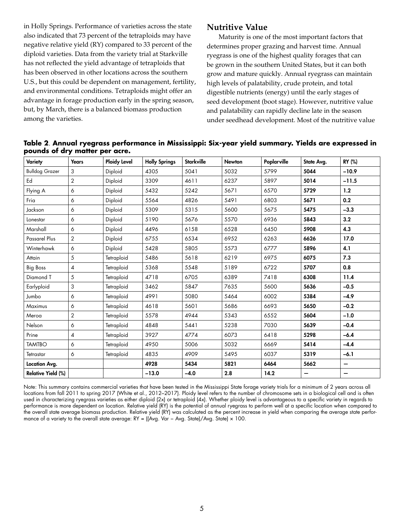in Holly Springs. Performance of varieties across the state also indicated that 73 percent of the tetraploids may have negative relative yield (RY) compared to 33 percent of the diploid varieties. Data from the variety trial at Starkville has not reflected the yield advantage of tetraploids that has been observed in other locations across the southern U.S., but this could be dependent on management, fertility, and environmental conditions. Tetraploids might offer an advantage in forage production early in the spring season, but, by March, there is a balanced biomass production among the varieties.

## **Nutritive Value**

Maturity is one of the most important factors that determines proper grazing and harvest time. Annual ryegrass is one of the highest quality forages that can be grown in the southern United States, but it can both grow and mature quickly. Annual ryegrass can maintain high levels of palatability, crude protein, and total digestible nutrients (energy) until the early stages of seed development (boot stage). However, nutritive value and palatability can rapidly decline late in the season under seedhead development. Most of the nutritive value

| Variety                   | <b>Years</b>   | <b>Ploidy Level</b> | <b>Holly Springs</b> | <b>Starkville</b> | <b>Newton</b> | Poplarville | State Avg. | RY (%)  |
|---------------------------|----------------|---------------------|----------------------|-------------------|---------------|-------------|------------|---------|
| <b>Bulldog Grazer</b>     | 3              | Diploid             | 4305                 | 5041              | 5032          | 5799        | 5044       | $-10.9$ |
| Ed                        | $\overline{2}$ | Diploid             | 3309                 | 4611              | 6237          | 5897        | 5014       | $-11.5$ |
| Flying A                  | 6              | Diploid             | 5432                 | 5242              | 5671          | 6570        | 5729       | 1.2     |
| Fria                      | 6              | Diploid             | 5564                 | 4826              | 5491          | 6803        | 5671       | 0.2     |
| Jackson                   | 6              | Diploid             | 5309                 | 5315              | 5600          | 5675        | 5475       | $-3.3$  |
| Lonestar                  | 6              | Diploid             | 5190                 | 5676              | 5570          | 6936        | 5843       | 3.2     |
| Marshall                  | 6              | Diploid             | 4496                 | 6158              | 6528          | 6450        | 5908       | 4.3     |
| Passarel Plus             | $\overline{2}$ | Diploid             | 6755                 | 6534              | 6952          | 6263        | 6626       | 17.0    |
| Winterhawk                | 6              | Diploid             | 5428                 | 5805              | 5573          | 6777        | 5896       | 4.1     |
| Attain                    | 5              | Tetraploid          | 5486                 | 5618              | 6219          | 6975        | 6075       | 7.3     |
| <b>Big Boss</b>           | 4              | Tetraploid          | 5368                 | 5548              | 5189          | 6722        | 5707       | 0.8     |
| Diamond T                 | 5              | Tetraploid          | 4718                 | 6705              | 6389          | 7418        | 6308       | 11.4    |
| Earlyploid                | 3              | Tetraploid          | 3462                 | 5847              | 7635          | 5600        | 5636       | $-0.5$  |
| Jumbo                     | 6              | Tetraploid          | 4991                 | 5080              | 5464          | 6002        | 5384       | $-4.9$  |
| Maximus                   | 6              | Tetraploid          | 4618                 | 5601              | 5686          | 6693        | 5650       | $-0.2$  |
| Meroa                     | $\overline{2}$ | Tetraploid          | 5578                 | 4944              | 5343          | 6552        | 5604       | $-1.0$  |
| Nelson                    | 6              | Tetraploid          | 4848                 | 5441              | 5238          | 7030        | 5639       | $-0.4$  |
| Prine                     | 4              | Tetraploid          | 3927                 | 4774              | 6073          | 6418        | 5298       | $-6.4$  |
| <b>TAMTBO</b>             | 6              | Tetraploid          | 4950                 | 5006              | 5032          | 6669        | 5414       | $-4.4$  |
| Tetrastar                 | 6              | Tetraploid          | 4835                 | 4909              | 5495          | 6037        | 5319       | $-6.1$  |
| Location Avg.             |                |                     | 4928                 | 5434              | 5821          | 6464        | 5662       | -       |
| <b>Relative Yield (%)</b> |                |                     | $-13.0$              | $-4.0$            | 2.8           | 14.2        |            |         |

**Table 2**. **Annual ryegrass performance in Mississippi: Six-year yield summary. Yields are expressed in pounds of dry matter per acre.**

Note: This summary contains commercial varieties that have been tested in the Mississippi State forage variety trials for a minimum of 2 years across all locations from fall 2011 to spring 2017 (White et al., 2012–2017). Ploidy level refers to the number of chromosome sets in a biological cell and is often used in characterizing ryegrass varieties as either diploid (2x) or tetraploid (4x). Whether ploidy level is advantageous to a specific variety in regards to performance is more dependent on location. Relative yield (RY) is the potential of annual ryegrass to perform well at a specific location when compared to the overall state average biomass production. Relative yield (RY) was calculated as the percent increase in yield when comparing the average state performance of a variety to the overall state average: RY = ((Avg. Var − Avg. State)/Avg. State) × 100.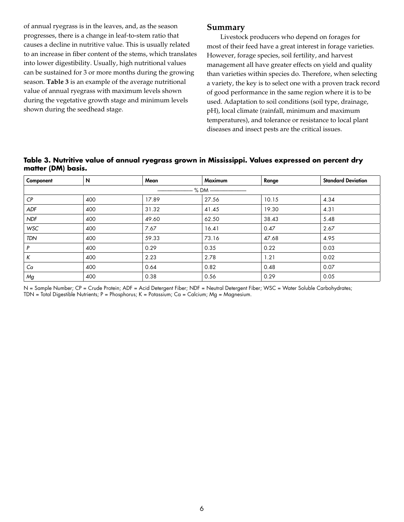of annual ryegrass is in the leaves, and, as the season progresses, there is a change in leaf-to-stem ratio that causes a decline in nutritive value. This is usually related to an increase in fiber content of the stems, which translates into lower digestibility. Usually, high nutritional values can be sustained for 3 or more months during the growing season. **Table 3** is an example of the average nutritional value of annual ryegrass with maximum levels shown during the vegetative growth stage and minimum levels shown during the seedhead stage.

#### **Summary**

 Livestock producers who depend on forages for most of their feed have a great interest in forage varieties. However, forage species, soil fertility, and harvest management all have greater effects on yield and quality than varieties within species do. Therefore, when selecting a variety, the key is to select one with a proven track record of good performance in the same region where it is to be used. Adaptation to soil conditions (soil type, drainage, pH), local climate (rainfall, minimum and maximum temperatures), and tolerance or resistance to local plant diseases and insect pests are the critical issues.

#### **Table 3. Nutritive value of annual ryegrass grown in Mississippi. Values expressed on percent dry matter (DM) basis.**

| Component          | N   | Mean  | <b>Maximum</b> | Range | <b>Standard Deviation</b> |  |  |  |
|--------------------|-----|-------|----------------|-------|---------------------------|--|--|--|
| - % DM ----------- |     |       |                |       |                           |  |  |  |
| CP                 | 400 | 17.89 | 27.56          | 10.15 | 4.34                      |  |  |  |
| <b>ADF</b>         | 400 | 31.32 | 41.45          | 19.30 | 4.31                      |  |  |  |
| <b>NDF</b>         | 400 | 49.60 | 62.50          | 38.43 | 5.48                      |  |  |  |
| <b>WSC</b>         | 400 | 7.67  | 16.41          | 0.47  | 2.67                      |  |  |  |
| <b>TDN</b>         | 400 | 59.33 | 73.16          | 47.68 | 4.95                      |  |  |  |
| P                  | 400 | 0.29  | 0.35           | 0.22  | 0.03                      |  |  |  |
| К                  | 400 | 2.23  | 2.78           | 1.21  | 0.02                      |  |  |  |
| Ca                 | 400 | 0.64  | 0.82           | 0.48  | 0.07                      |  |  |  |
| Mg                 | 400 | 0.38  | 0.56           | 0.29  | 0.05                      |  |  |  |

N = Sample Number; CP = Crude Protein; ADF = Acid Detergent Fiber; NDF = Neutral Detergent Fiber; WSC = Water Soluble Carbohydrates; TDN = Total Digestible Nutrients; P = Phosphorus; K = Potassium; Ca = Calcium; Mg = Magnesium.